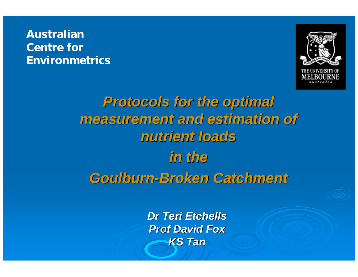#### Australian Centre for Environmetrics



# *Protocols for the optimal Protocols for the optimal measurement and estimation of measurement and estimation of nutrient loads nutrient loads in the Goulburn Goulburn-Broken Catchment Broken Catchment*

*Dr Teri Etchells Dr Teri EtchellsProf David Fox Prof David FoxKS Tan*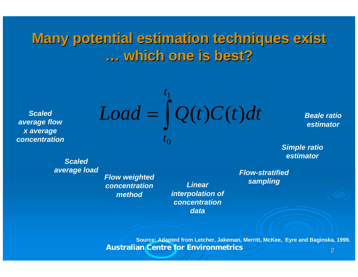**Many potential estimation techniques exist Many potential estimation techniques exist … which one is best? which one is best?**

*Scaled average flow x average concentration*

$$
Load = \int_{t_0}^{t_1} Q(t)C(t)dt
$$

*Beale ratio estimator*

*Simple ratio estimator*

*Scaled average load*

*Flow weighted concentration method*

*Linear interpolation of concentration data*

*Flow-stratified sampling*

2 Australian Centre for Environmetrics **Source: Adapted from Letcher, Jakeman, Merritt, McKee, Eyre and Baginska, 1999.**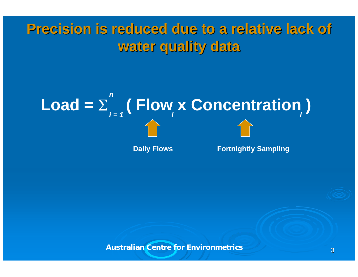### **Precision is reduced due to a relative lack of Precision is reduced due to a relative lack of water quality data water quality data**

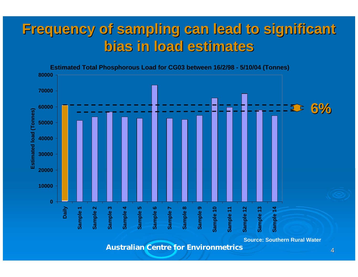### **Frequency of sampling can lead to significant Frequency of sampling can lead to significant bias in load estimates bias in load estimates**

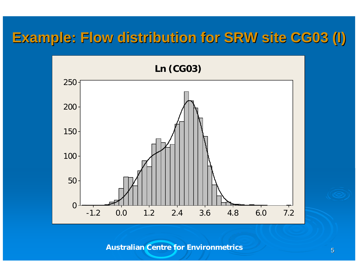### **Example: Flow distribution for SRW site CG03 (I) Example: Flow distribution for SRW site CG03 (I)**

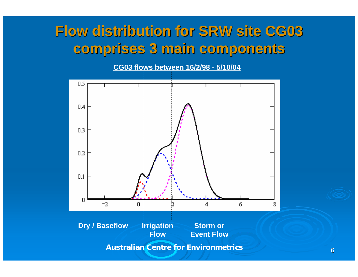### **Flow distribution for SRW site CG03 Flow distribution for SRW site CG03 comprises 3 main components comprises 3 main components**

**CG03 flows between 16/2/98 - 5/10/04** 



6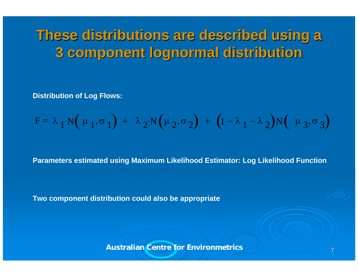### **These distributions are described using a These distributions are described using a 3 component lognormal distribution 3 component lognormal distribution**

**Distribution of Log Flows:**

$$
F = \lambda_1 \cdot N(\mu_1, \sigma_1) + \lambda_2 \cdot N(\mu_2, \sigma_2) + (1 - \lambda_1 - \lambda_2) N(\mu_3, \sigma_3)
$$

**Parameters estimated using Maximum Likelihood Estimator: Log Likelihood Function**

**Two component distribution could also be appropriate**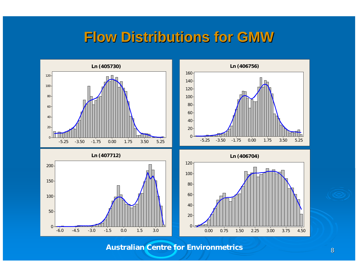#### **Flow Distributions for GMW Flow Distributions for GMW**

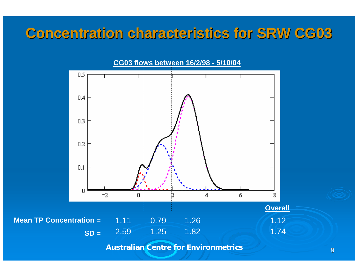### **Concentration characteristics for SRW CG03**

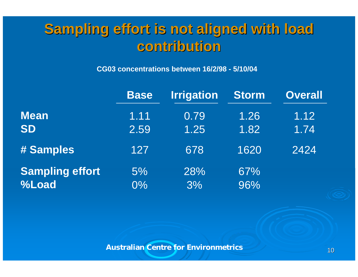### **Sampling effort is not aligned with load Sampling effort is not aligned with load contribution contribution**

**CG03 concentrations between 16/2/98 - 5/10/04** 

|                        | <b>Base</b> | <b>Irrigation</b> | <b>Storm</b> | <b>Overall</b> |
|------------------------|-------------|-------------------|--------------|----------------|
| <b>Mean</b>            | 1.11        | 0.79              | 1.26         | 1.12           |
| <b>SD</b>              | 2.59        | 1.25              | 1.82         | 1.74           |
| # Samples              | 127         | 678               | 1620         | 2424           |
| <b>Sampling effort</b> | 5%          | 28%               | 67%          |                |
| %Load                  | 0%          | 3%                | 96%          |                |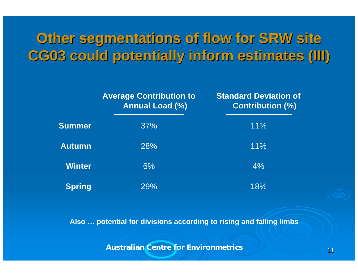### **Other segmentations of flow for SRW site Other segmentations of flow for SRW site CG03 could potentially inform estimates (III) CG03 could potentially inform estimates (III)**

|               | <b>Average Contribution to</b><br><b>Annual Load (%)</b> | <b>Standard Deviation of</b><br><b>Contribution (%)</b> |
|---------------|----------------------------------------------------------|---------------------------------------------------------|
| <b>Summer</b> | 37%                                                      | 11%                                                     |
| <b>Autumn</b> | 28%                                                      | 11%                                                     |
| <b>Winter</b> | 6%                                                       | 4%                                                      |
| <b>Spring</b> | 29%                                                      | 18%                                                     |

**Also … potential for divisions according to rising and falling limbs**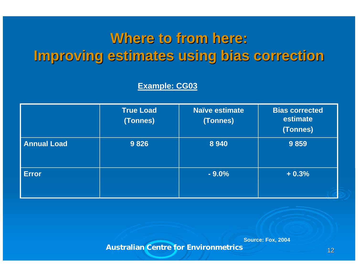### **Where to from here: Where to from here: Improving estimates using bias correction Improving estimates using bias correction**

**Example: CG03**

|                    | <b>True Load</b><br>(Tonnes) | <b>Naïve estimate</b><br>(Tonnes) | <b>Bias corrected</b><br>estimate<br>(Tonnes) |
|--------------------|------------------------------|-----------------------------------|-----------------------------------------------|
| <b>Annual Load</b> | 9826                         | 8 9 4 0                           | 9859                                          |
| <b>Error</b>       |                              | $-9.0%$                           | $+0.3%$                                       |

**Source: Fox, 2004**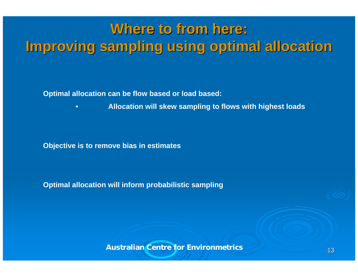## **Where to from here: Where to from here: Improving sampling using optimal allocation Improving sampling using optimal allocation**

**Optimal allocation can be flow based or load based:**

•**Allocation will skew sampling to flows with highest loads**

**Objective is to remove bias in estimates**

**Optimal allocation will inform probabilistic sampling**